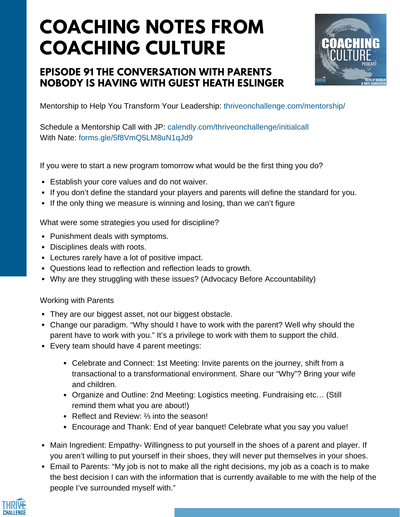# **COACHING NOTES FROM COACHING CULTURE**

## **EPISODE 91 THE CONVERSATION WITH PARENTS NOBODY IS HAVING WITH GUEST HEATH ESLINGER**



Mentorship to Help You Transform Your Leadership: thriveonchallenge.com/mentorship/

Schedule a Mentorship Call with JP: calendly.com/thriveonchallenge/initialcall With Nate: forms.gle/5f8VmQ5LM8uN1qJd9

If you were to start a new program tomorrow what would be the first thing you do?

- Establish your core values and do not waiver.
- If you don't define the standard your players and parents will define the standard for you.
- If the only thing we measure is winning and losing, than we can't figure

What were some strategies you used for discipline?

- Punishment deals with symptoms.
- Disciplines deals with roots.
- Lectures rarely have a lot of positive impact.
- Questions lead to reflection and reflection leads to growth.
- Why are they struggling with these issues? (Advocacy Before Accountability)

#### Working with Parents

- They are our biggest asset, not our biggest obstacle.
- Change our paradigm. "Why should I have to work with the parent? Well why should the parent have to work with you." It's a privilege to work with them to support the child.
- Every team should have 4 parent meetings:
	- Celebrate and Connect: 1st Meeting: Invite parents on the journey, shift from a transactional to a transformational environment. Share our "Why"? Bring your wife and children.
	- Organize and Outline: 2nd Meeting: Logistics meeting. Fundraising etc… (Still remind them what you are about!)
	- Reflect and Review: ⅔ into the season!
	- Encourage and Thank: End of year banquet! Celebrate what you say you value!
- Main Ingredient: Empathy- Willingness to put yourself in the shoes of a parent and player. If you aren't willing to put yourself in their shoes, they will never put themselves in your shoes.
- Email to Parents: "My job is not to make all the right decisions, my job as a coach is to make the best decision I can with the information that is currently available to me with the help of the people I've surrounded myself with."